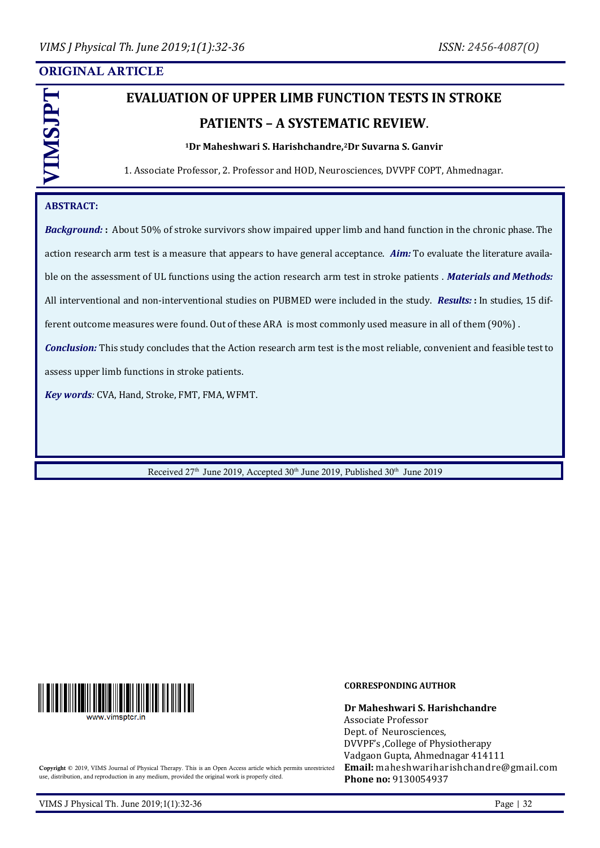# ORIGINAL ARTICLE

# **EVALUATION OF UPPER LIMB FUNCTION TESTS IN STROKE PATIENTS – A SYSTEMATIC REVIEW**.

#### **<sup>1</sup>Dr Maheshwari S. Harishchandre,2Dr Suvarna S. Ganvir**

1. Associate Professor, 2. Professor and HOD, Neurosciences, DVVPF COPT, Ahmednagar.

## **ABSTRACT:**

VIMSJPT

*Background:* **:** About 50% of stroke survivors show impaired upper limb and hand function in the chronic phase. The action research arm test is a measure that appears to have general acceptance. *Aim:* To evaluate the literature available on the assessment of UL functions using the action research arm test in stroke patients . *Materials and Methods:* All interventional and non-interventional studies on PUBMED were included in the study. *Results:* **:** In studies, 15 different outcome measures were found. Out of these ARA is most commonly used measure in all of them (90%) . *Conclusion:* This study concludes that the Action research arm test is the most reliable, convenient and feasible test to assess upper limb functions in stroke patients.

*Key words:* CVA, Hand, Stroke, FMT, FMA, WFMT.

Received  $27<sup>th</sup>$  June 2019, Accepted  $30<sup>th</sup>$  June 2019, Published  $30<sup>th</sup>$  June 2019



#### **CORRESPONDING AUTHOR**

**Dr Maheshwari S. Harishchandre** Associate Professor Dept. of Neurosciences, DVVPF's ,College of Physiotherapy Vadgaon Gupta, Ahmednagar 414111 **Email:** [maheshwariharishchandre@gmail.com](mailto:maheshwariharishchandre@gmail.com) **Phone no:** 9130054937

Copyright © 2019, VIMS Journal of Physical Therapy. This is an Open Access article which permits unrestricted use, distribution, and reproduction in any medium, provided the original work is properly cited.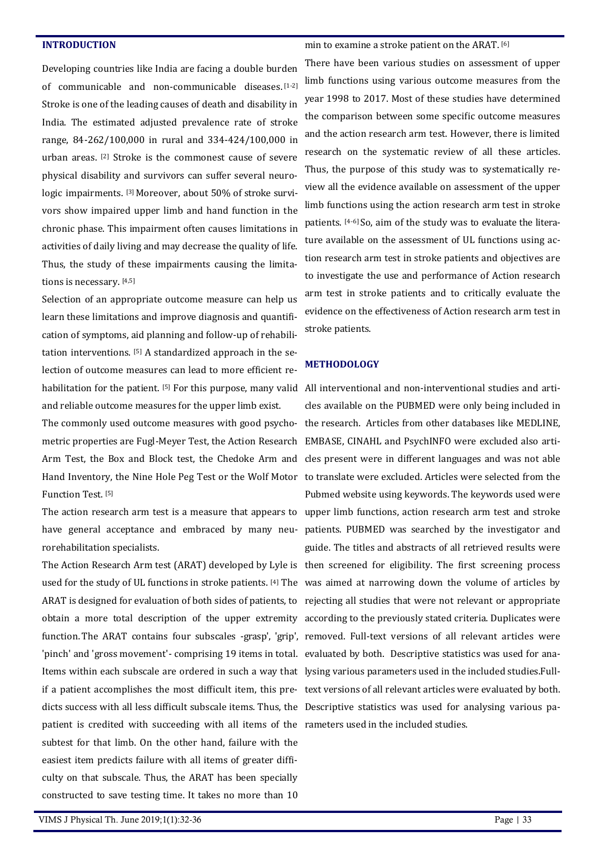#### **INTRODUCTION**

Developing countries like India are facing a double burden of communicable and non-communicable diseases. [1-2] Stroke is one of the leading causes of death and disability in India. The estimated adjusted prevalence rate of stroke range, 84-262/100,000 in rural and 334-424/100,000 in urban areas. [2] Stroke is the commonest cause of severe physical disability and survivors can suffer several neurologic impairments. [3] Moreover, about 50% of stroke survivors show impaired upper limb and hand function in the chronic phase. This impairment often causes limitations in activities of daily living and may decrease the quality of life. Thus, the study of these impairments causing the limitations is necessary. [4,5]

Selection of an appropriate outcome measure can help us learn these limitations and improve diagnosis and quantification of symptoms, aid planning and follow-up of rehabilitation interventions. [5] A standardized approach in the selection of outcome measures can lead to more efficient rehabilitation for the patient. [5] For this purpose, many valid All interventional and non-interventional studies and artiand reliable outcome measures for the upper limb exist.

metric properties are Fugl-Meyer Test, the Action Research EMBASE, CINAHL and PsychINFO were excluded also arti-Function Test. [5]

rorehabilitation specialists.

'pinch' and 'gross movement'- comprising 19 items in total. evaluated by both. Descriptive statistics was used for ana-Items within each subscale are ordered in such a way that lysing various parameters used in the included studies.Fulldicts success with all less difficult subscale items. Thus, the Descriptive statistics was used for analysing various papatient is credited with succeeding with all items of the rameters used in the included studies. subtest for that limb. On the other hand, failure with the easiest item predicts failure with all items of greater difficulty on that subscale. Thus, the ARAT has been specially constructed to save testing time. It takes no more than 10

#### min to examine a stroke patient on the ARAT. [6]

There have been various studies on assessment of upper limb functions using various outcome measures from the year 1998 to 2017. Most of these studies have determined the comparison between some specific outcome measures and the action research arm test. However, there is limited research on the systematic review of all these articles. Thus, the purpose of this study was to systematically review all the evidence available on assessment of the upper limb functions using the action research arm test in stroke patients. [4-6] So, aim of the study was to evaluate the literature available on the assessment of UL functions using action research arm test in stroke patients and objectives are to investigate the use and performance of Action research arm test in stroke patients and to critically evaluate the evidence on the effectiveness of Action research arm test in stroke patients.

#### **METHODOLOGY**

The commonly used outcome measures with good psycho-the research. Articles from other databases like MEDLINE, Arm Test, the Box and Block test, the Chedoke Arm and cles present were in different languages and was not able Hand Inventory, the Nine Hole Peg Test or the Wolf Motor to translate were excluded. Articles were selected from the The action research arm test is a measure that appears to upper limb functions, action research arm test and stroke have general acceptance and embraced by many neu-patients. PUBMED was searched by the investigator and The Action Research Arm test (ARAT) developed by Lyle is then screened for eligibility. The first screening process used for the study of UL functions in stroke patients. [4] The was aimed at narrowing down the volume of articles by ARAT is designed for evaluation of both sides of patients, to rejecting all studies that were not relevant or appropriate obtain a more total description of the upper extremity according to the previously stated criteria. Duplicates were function.The ARAT contains four subscales -grasp', 'grip', removed. Full-text versions of all relevant articles were if a patient accomplishes the most difficult item, this pre-text versions of all relevant articles were evaluated by both. cles available on the PUBMED were only being included in Pubmed website using keywords. The keywords used were guide. The titles and abstracts of all retrieved results were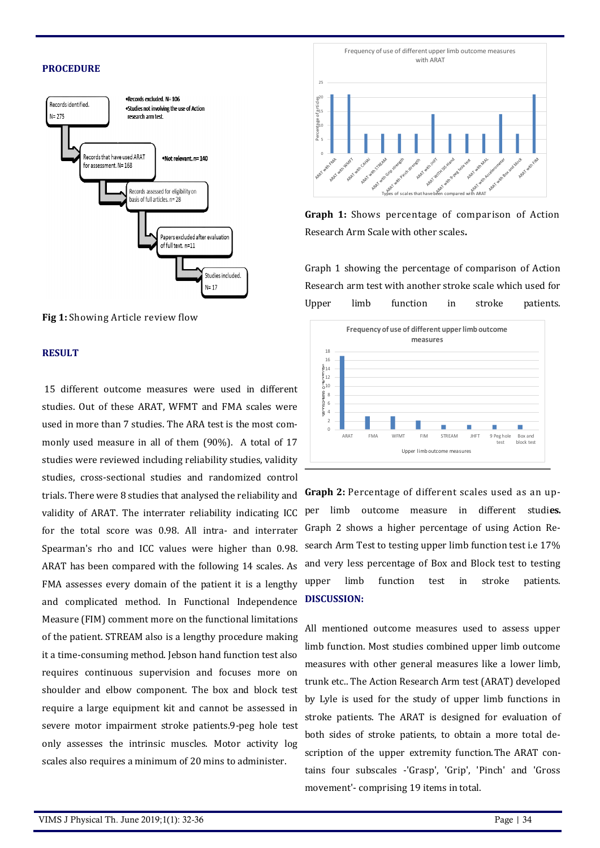### **PROCEDURE**



**Fig 1:** Showing Article review flow

#### **RESULT**

15 different outcome measures were used in different studies. Out of these ARAT, WFMT and FMA scales were used in more than 7 studies. The ARA test is the most commonly used measure in all of them (90%). A total of 17 studies were reviewed including reliability studies, validity studies, cross-sectional studies and randomized control trials. There were 8 studies that analysed the reliability and validity of ARAT. The interrater reliability indicating ICC for the total score was 0.98. All intra- and interrater Spearman's rho and ICC values were higher than 0.98. ARAT has been compared with the following 14 scales. As FMA assesses every domain of the patient it is a lengthy and complicated method. In Functional Independence Measure (FIM) comment more on the functional limitations of the patient. STREAM also is a lengthy procedure making it a time-consuming method. Jebson hand function test also requires continuous supervision and focuses more on shoulder and elbow component. The box and block test require a large equipment kit and cannot be assessed in severe motor impairment stroke patients.9-peg hole test only assesses the intrinsic muscles. Motor activity log scales also requires a minimum of 20 mins to administer.



**Graph 1:** Shows percentage of comparison of Action Research Arm Scale with other scales**.**

Graph 1 showing the percentage of comparison of Action Research arm test with another stroke scale which used for Upper limb function in stroke patients.



**Graph 2:** Percentage of different scales used as an upper limb outcome measure in different studi**es.** Graph 2 shows a higher percentage of using Action Research Arm Test to testing upper limb function test i.e 17% and very less percentage of Box and Block test to testing upper limb function test in stroke patients. **DISCUSSION:**

All mentioned outcome measures used to assess upper limb function. Most studies combined upper limb outcome measures with other general measures like a lower limb, trunk etc.. The Action Research Arm test (ARAT) developed by Lyle is used for the study of upper limb functions in stroke patients. The ARAT is designed for evaluation of both sides of stroke patients, to obtain a more total description of the upper extremity function.The ARAT contains four subscales -'Grasp', 'Grip', 'Pinch' and 'Gross movement'- comprising 19 items in total.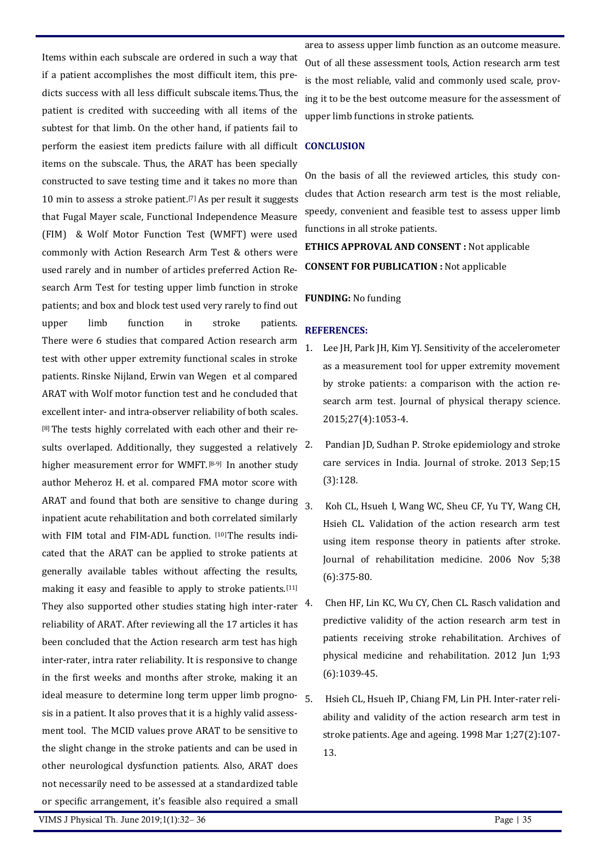Items within each subscale are ordered in such a way that if a patient accomplishes the most difficult item, this predicts success with all less difficult subscale items.Thus, the patient is credited with succeeding with all items of the subtest for that limb. On the other hand, if patients fail to perform the easiest item predicts failure with all difficult **CONCLUSION**  items on the subscale. Thus, the ARAT has been specially constructed to save testing time and it takes no more than 10 min to assess a stroke patient.[7] As per result it suggests that Fugal Mayer scale, Functional Independence Measure (FIM) & Wolf Motor Function Test (WMFT) were used commonly with Action Research Arm Test & others were used rarely and in number of articles preferred Action Research Arm Test for testing upper limb function in stroke patients; and box and block test used very rarely to find out upper limb function in stroke patients. There were 6 studies that compared Action research arm test with other upper extremity functional scales in stroke patients. Rinske Nijland, Erwin van Wegen et al compared ARAT with Wolf motor function test and he concluded that excellent inter- and intra-observer reliability of both scales. [8] The tests highly correlated with each other and their results overlaped. Additionally, they suggested a relatively  $2$ . higher measurement error for WMFT.<sup>[8-9]</sup> In another study author Meheroz H. et al. compared FMA motor score with ARAT and found that both are sensitive to change during  $\frac{3}{3}$ inpatient acute rehabilitation and both correlated similarly with FIM total and FIM-ADL function. [10] The results indicated that the ARAT can be applied to stroke patients at generally available tables without affecting the results, making it easy and feasible to apply to stroke patients.[11] They also supported other studies stating high inter-rater  $4$ . reliability of ARAT. After reviewing all the 17 articles it has been concluded that the Action research arm test has high inter-rater, intra rater reliability. It is responsive to change in the first weeks and months after stroke, making it an ideal measure to determine long term upper limb progno- $5$ . sis in a patient. It also proves that it is a highly valid assessment tool. The MCID values prove ARAT to be sensitive to the slight change in the stroke patients and can be used in other neurological dysfunction patients. Also, ARAT does not necessarily need to be assessed at a standardized table or specific arrangement, it's feasible also required a small

area to assess upper limb function as an outcome measure. Out of all these assessment tools, Action research arm test is the most reliable, valid and commonly used scale, proving it to be the best outcome measure for the assessment of upper limb functions in stroke patients.

On the basis of all the reviewed articles, this study concludes that Action research arm test is the most reliable, speedy, convenient and feasible test to assess upper limb functions in all stroke patients.

**ETHICS APPROVAL AND CONSENT :** Not applicable **CONSENT FOR PUBLICATION :** Not applicable

#### **FUNDING:** No funding

### **REFERENCES:**

- Lee JH, Park JH, Kim YJ. Sensitivity of the accelerometer as a measurement tool for upper extremity movement by stroke patients: a comparison with the action research arm test. Journal of physical therapy science. 2015;27(4):1053-4.
- Pandian JD, Sudhan P. Stroke epidemiology and stroke care services in India. Journal of stroke. 2013 Sep;15 (3):128.
- 3. Koh CL, Hsueh I, Wang WC, Sheu CF, Yu TY, Wang CH, Hsieh CL. Validation of the action research arm test using item response theory in patients after stroke. Journal of rehabilitation medicine. 2006 Nov 5;38 (6):375-80.
- 4. Chen HF, Lin KC, Wu CY, Chen CL. Rasch validation and predictive validity of the action research arm test in patients receiving stroke rehabilitation. Archives of physical medicine and rehabilitation. 2012 Jun 1;93 (6):1039-45.
- 5. Hsieh CL, Hsueh IP, Chiang FM, Lin PH. Inter-rater reliability and validity of the action research arm test in stroke patients. Age and ageing. 1998 Mar 1;27(2):107- 13.